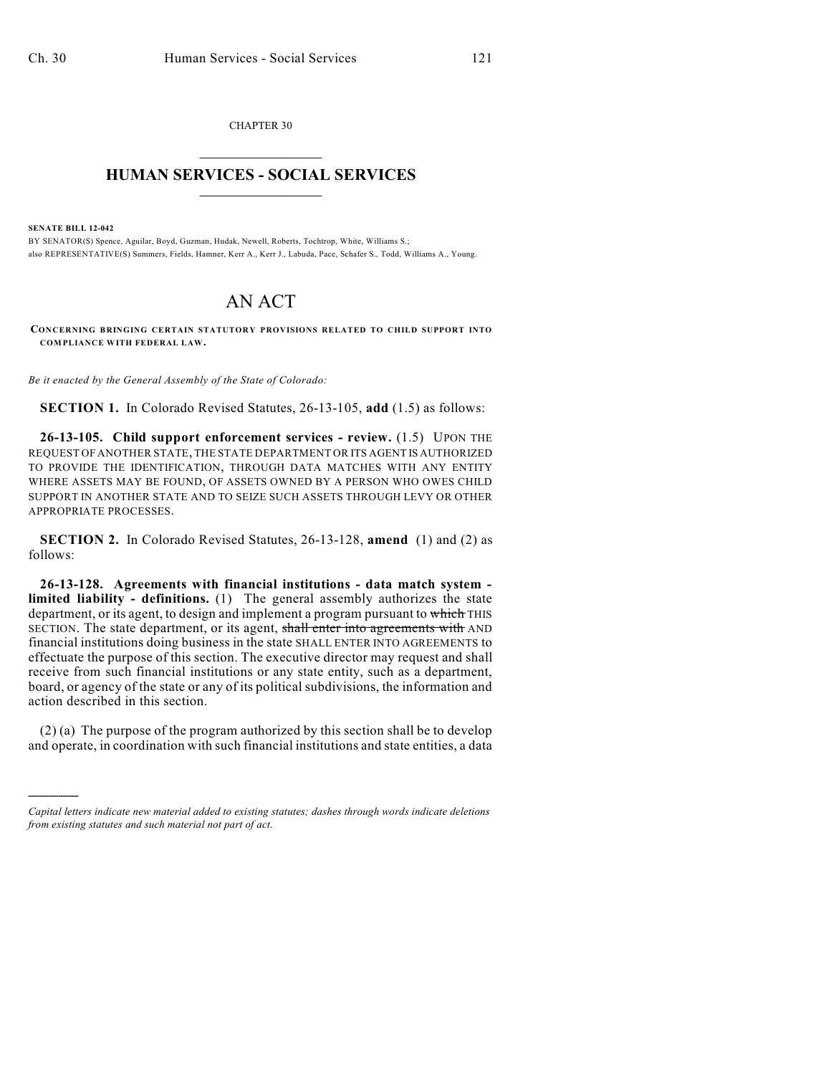CHAPTER 30  $\overline{\phantom{a}}$  . The set of the set of the set of the set of the set of the set of the set of the set of the set of the set of the set of the set of the set of the set of the set of the set of the set of the set of the set o

## **HUMAN SERVICES - SOCIAL SERVICES**  $\frac{1}{2}$  ,  $\frac{1}{2}$  ,  $\frac{1}{2}$  ,  $\frac{1}{2}$  ,  $\frac{1}{2}$  ,  $\frac{1}{2}$  ,  $\frac{1}{2}$

**SENATE BILL 12-042**

)))))

BY SENATOR(S) Spence, Aguilar, Boyd, Guzman, Hudak, Newell, Roberts, Tochtrop, White, Williams S.; also REPRESENTATIVE(S) Summers, Fields, Hamner, Kerr A., Kerr J., Labuda, Pace, Schafer S., Todd, Williams A., Young.

## AN ACT

**CONCERNING BRINGING CERTAIN STATUTORY PROVISIONS RELATED TO CHILD SUPPORT INTO COMPLIANCE WITH FEDERAL LAW.**

*Be it enacted by the General Assembly of the State of Colorado:*

**SECTION 1.** In Colorado Revised Statutes, 26-13-105, **add** (1.5) as follows:

**26-13-105. Child support enforcement services - review.** (1.5) UPON THE REQUEST OF ANOTHER STATE, THE STATE DEPARTMENT OR ITS AGENT IS AUTHORIZED TO PROVIDE THE IDENTIFICATION, THROUGH DATA MATCHES WITH ANY ENTITY WHERE ASSETS MAY BE FOUND, OF ASSETS OWNED BY A PERSON WHO OWES CHILD SUPPORT IN ANOTHER STATE AND TO SEIZE SUCH ASSETS THROUGH LEVY OR OTHER APPROPRIATE PROCESSES.

**SECTION 2.** In Colorado Revised Statutes, 26-13-128, **amend** (1) and (2) as follows:

**26-13-128. Agreements with financial institutions - data match system limited liability - definitions.** (1) The general assembly authorizes the state department, or its agent, to design and implement a program pursuant to which THIS SECTION. The state department, or its agent, shall enter into agreements with AND financial institutions doing business in the state SHALL ENTER INTO AGREEMENTS to effectuate the purpose of this section. The executive director may request and shall receive from such financial institutions or any state entity, such as a department, board, or agency of the state or any of its political subdivisions, the information and action described in this section.

(2) (a) The purpose of the program authorized by this section shall be to develop and operate, in coordination with such financial institutions and state entities, a data

*Capital letters indicate new material added to existing statutes; dashes through words indicate deletions from existing statutes and such material not part of act.*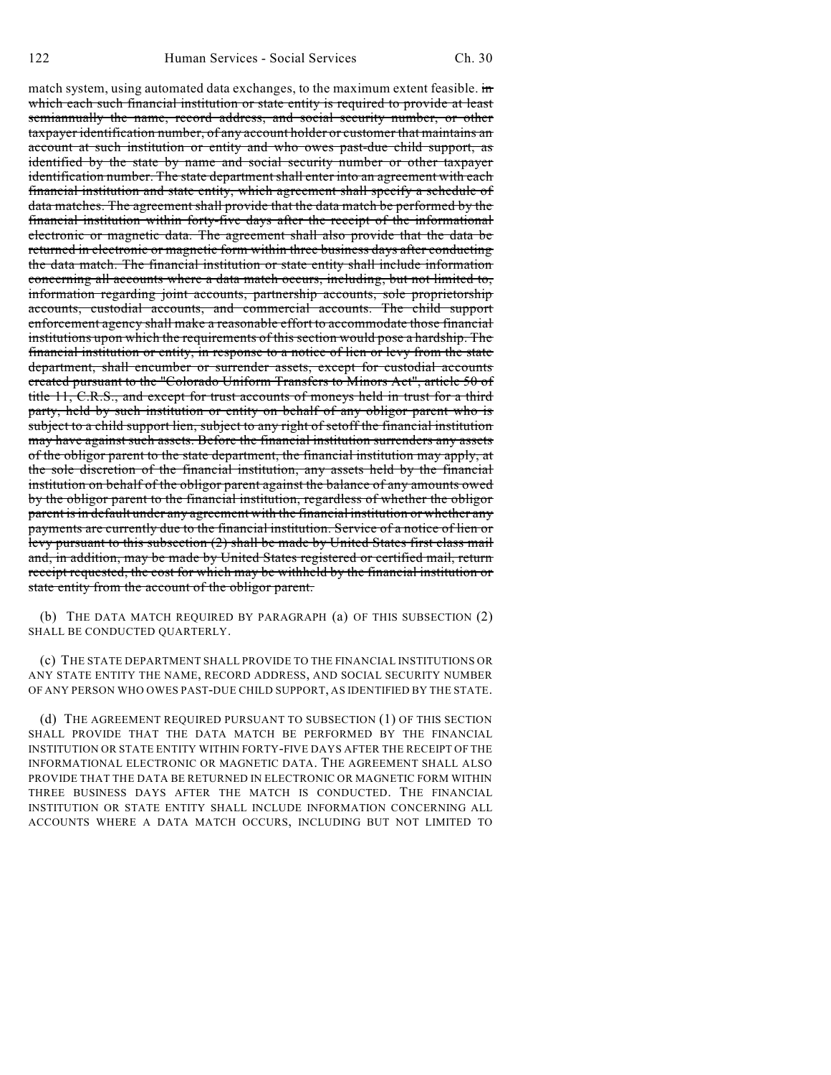match system, using automated data exchanges, to the maximum extent feasible. in which each such financial institution or state entity is required to provide at least semiannually the name, record address, and social security number, or other taxpayer identification number, of any account holder or customer that maintains an account at such institution or entity and who owes past-due child support, as identified by the state by name and social security number or other taxpayer identification number. The state department shall enter into an agreement with each financial institution and state entity, which agreement shall specify a schedule of data matches. The agreement shall provide that the data match be performed by the financial institution within forty-five days after the receipt of the informational electronic or magnetic data. The agreement shall also provide that the data be returned in electronic or magnetic form within three business days after conducting the data match. The financial institution or state entity shall include information concerning all accounts where a data match occurs, including, but not limited to, information regarding joint accounts, partnership accounts, sole proprietorship accounts, custodial accounts, and commercial accounts. The child support enforcement agency shall make a reasonable effort to accommodate those financial institutions upon which the requirements of this section would pose a hardship. The financial institution or entity, in response to a notice of lien or levy from the state department, shall encumber or surrender assets, except for custodial accounts created pursuant to the "Colorado Uniform Transfers to Minors Act", article 50 of title 11, C.R.S., and except for trust accounts of moneys held in trust for a third party, held by such institution or entity on behalf of any obligor parent who is subject to a child support lien, subject to any right of setoff the financial institution may have against such assets. Before the financial institution surrenders any assets of the obligor parent to the state department, the financial institution may apply, at the sole discretion of the financial institution, any assets held by the financial institution on behalf of the obligor parent against the balance of any amounts owed by the obligor parent to the financial institution, regardless of whether the obligor parent is in default under any agreement with the financial institution or whether any payments are currently due to the financial institution. Service of a notice of lien or levy pursuant to this subsection (2) shall be made by United States first class mail and, in addition, may be made by United States registered or certified mail, return receipt requested, the cost for which may be withheld by the financial institution or state entity from the account of the obligor parent.

(b) THE DATA MATCH REQUIRED BY PARAGRAPH (a) OF THIS SUBSECTION (2) SHALL BE CONDUCTED QUARTERLY.

(c) THE STATE DEPARTMENT SHALL PROVIDE TO THE FINANCIAL INSTITUTIONS OR ANY STATE ENTITY THE NAME, RECORD ADDRESS, AND SOCIAL SECURITY NUMBER OF ANY PERSON WHO OWES PAST-DUE CHILD SUPPORT, AS IDENTIFIED BY THE STATE.

(d) THE AGREEMENT REQUIRED PURSUANT TO SUBSECTION (1) OF THIS SECTION SHALL PROVIDE THAT THE DATA MATCH BE PERFORMED BY THE FINANCIAL INSTITUTION OR STATE ENTITY WITHIN FORTY-FIVE DAYS AFTER THE RECEIPT OF THE INFORMATIONAL ELECTRONIC OR MAGNETIC DATA. THE AGREEMENT SHALL ALSO PROVIDE THAT THE DATA BE RETURNED IN ELECTRONIC OR MAGNETIC FORM WITHIN THREE BUSINESS DAYS AFTER THE MATCH IS CONDUCTED. THE FINANCIAL INSTITUTION OR STATE ENTITY SHALL INCLUDE INFORMATION CONCERNING ALL ACCOUNTS WHERE A DATA MATCH OCCURS, INCLUDING BUT NOT LIMITED TO